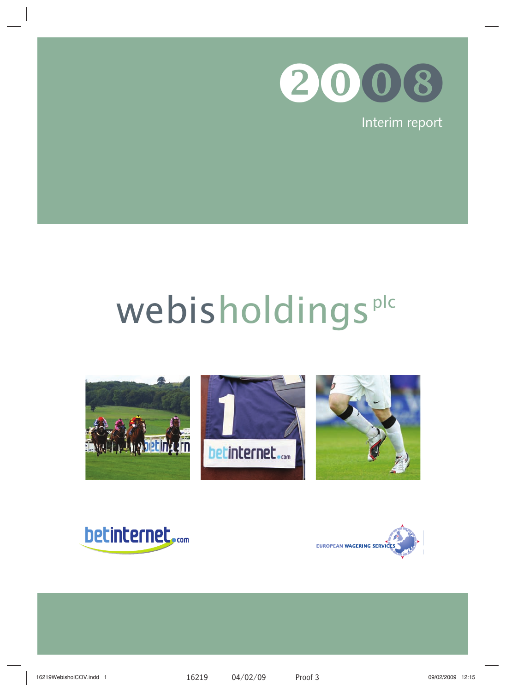

Interim report

# webisholdings<sup>plc</sup>





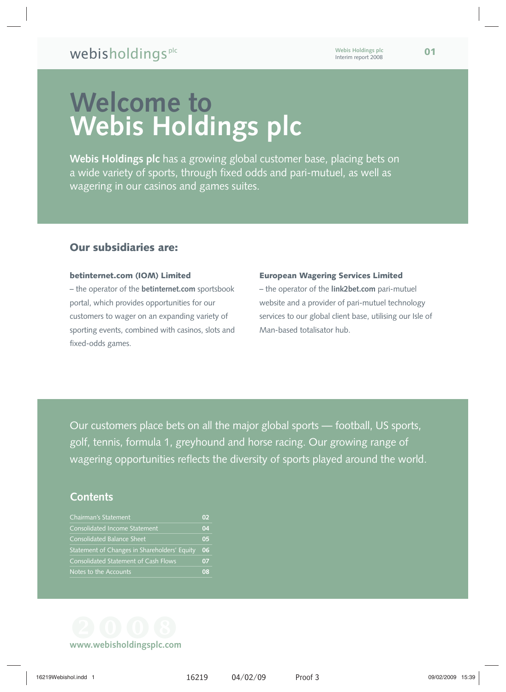## **Welcome to Webis Holdings plc**

**Webis Holdings plc** has a growing global customer base, placing bets on a wide variety of sports, through fixed odds and pari-mutuel, as well as wagering in our casinos and games suites.

## **Our subsidiaries are:**

#### **betinternet.com (IOM) Limited**

– the operator of the **betinternet.com** sportsbook portal, which provides opportunities for our customers to wager on an expanding variety of sporting events, combined with casinos, slots and fixed-odds games.

#### **European Wagering Services Limited**

– the operator of the **link2bet.com** pari-mutuel website and a provider of pari-mutuel technology services to our global client base, utilising our Isle of Man-based totalisator hub.

 Our customers place bets on all the major global sports — football, US sports, golf, tennis, formula 1, greyhound and horse racing. Our growing range of wagering opportunities reflects the diversity of sports played around the world.

## **Contents**

| <b>Chairman's Statement</b>                  | O2             |
|----------------------------------------------|----------------|
| Consolidated Income Statement                | 04             |
| Consolidated Balance Sheet                   | 0 <sub>5</sub> |
| Statement of Changes in Shareholders' Equity | 06             |
| <b>Consolidated Statement of Cash Flows</b>  | 07             |
| Notes to the Accounts                        | 08             |

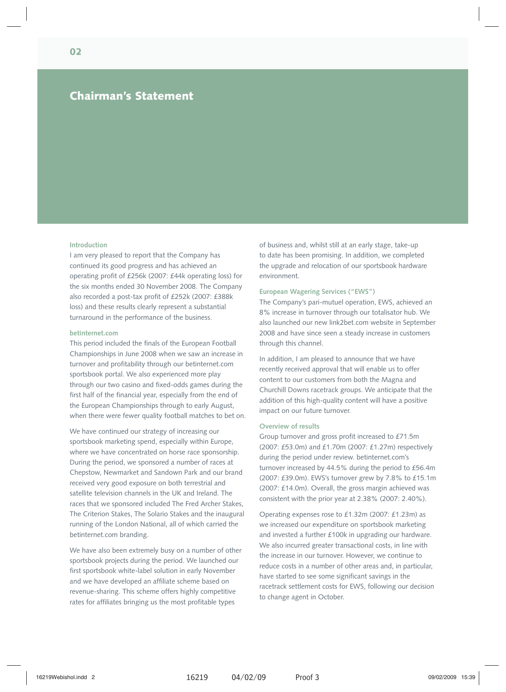## **Chairman's Statement**

#### **Introduction**

I am very pleased to report that the Company has continued its good progress and has achieved an operating profit of £256k (2007: £44k operating loss) for the six months ended 30 November 2008. The Company also recorded a post-tax profit of £252k (2007: £388k loss) and these results clearly represent a substantial turnaround in the performance of the business.

#### **betinternet.com**

This period included the finals of the European Football Championships in June 2008 when we saw an increase in turnover and profitability through our betinternet.com sportsbook portal. We also experienced more play through our two casino and fixed-odds games during the first half of the financial year, especially from the end of the European Championships through to early August, when there were fewer quality football matches to bet on.

We have continued our strategy of increasing our sportsbook marketing spend, especially within Europe, where we have concentrated on horse race sponsorship. During the period, we sponsored a number of races at Chepstow, Newmarket and Sandown Park and our brand received very good exposure on both terrestrial and satellite television channels in the UK and Ireland. The races that we sponsored included The Fred Archer Stakes, The Criterion Stakes, The Solario Stakes and the inaugural running of the London National, all of which carried the betinternet.com branding.

We have also been extremely busy on a number of other sportsbook projects during the period. We launched our first sportsbook white-label solution in early November and we have developed an affiliate scheme based on revenue-sharing. This scheme offers highly competitive rates for affiliates bringing us the most profitable types

of business and, whilst still at an early stage, take-up to date has been promising. In addition, we completed the upgrade and relocation of our sportsbook hardware environment.

#### **European Wagering Services ("EWS")**

The Company's pari-mutuel operation, EWS, achieved an 8% increase in turnover through our totalisator hub. We also launched our new link2bet.com website in September 2008 and have since seen a steady increase in customers through this channel.

In addition, I am pleased to announce that we have recently received approval that will enable us to offer content to our customers from both the Magna and Churchill Downs racetrack groups. We anticipate that the addition of this high-quality content will have a positive impact on our future turnover.

#### **Overview of results**

Group turnover and gross profit increased to £71.5m (2007: £53.0m) and £1.70m (2007: £1.27m) respectively during the period under review. betinternet.com's turnover increased by 44.5% during the period to £56.4m (2007: £39.0m). EWS's turnover grew by 7.8% to £15.1m (2007: £14.0m). Overall, the gross margin achieved was consistent with the prior year at 2.38% (2007: 2.40%).

Operating expenses rose to £1.32m (2007: £1.23m) as we increased our expenditure on sportsbook marketing and invested a further £100k in upgrading our hardware. We also incurred greater transactional costs, in line with the increase in our turnover. However, we continue to reduce costs in a number of other areas and, in particular, have started to see some significant savings in the racetrack settlement costs for EWS, following our decision to change agent in October.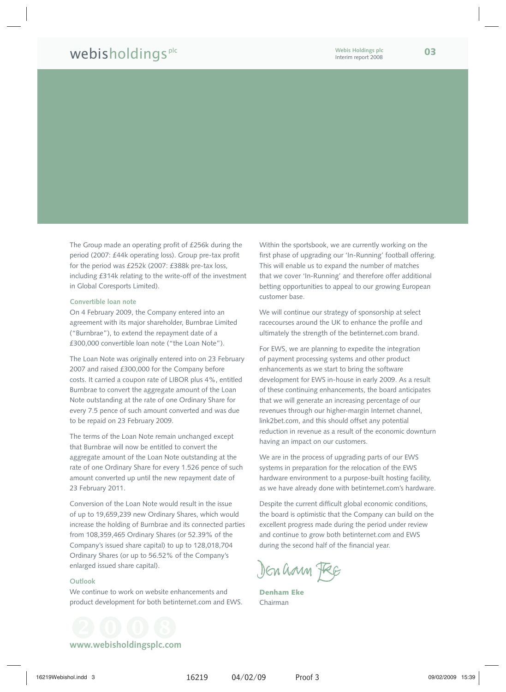## webisholdingsplc **Webis Holdings plc <sup>03</sup>**

The Group made an operating profit of £256k during the period (2007: £44k operating loss). Group pre-tax profit for the period was £252k (2007: £388k pre-tax loss, including £314k relating to the write-off of the investment in Global Coresports Limited).

#### **Convertible loan note**

On 4 February 2009, the Company entered into an agreement with its major shareholder, Burnbrae Limited ("Burnbrae"), to extend the repayment date of a £300,000 convertible loan note ("the Loan Note").

The Loan Note was originally entered into on 23 February 2007 and raised £300,000 for the Company before costs. It carried a coupon rate of LIBOR plus 4%, entitled Burnbrae to convert the aggregate amount of the Loan Note outstanding at the rate of one Ordinary Share for every 7.5 pence of such amount converted and was due to be repaid on 23 February 2009.

The terms of the Loan Note remain unchanged except that Burnbrae will now be entitled to convert the aggregate amount of the Loan Note outstanding at the rate of one Ordinary Share for every 1.526 pence of such amount converted up until the new repayment date of 23 February 2011.

Conversion of the Loan Note would result in the issue of up to 19,659,239 new Ordinary Shares, which would increase the holding of Burnbrae and its connected parties from 108,359,465 Ordinary Shares (or 52.39% of the Company's issued share capital) to up to 128,018,704 Ordinary Shares (or up to 56.52% of the Company's enlarged issued share capital).

#### **Outlook**

We continue to work on website enhancements and product development for both betinternet.com and EWS. Within the sportsbook, we are currently working on the first phase of upgrading our 'In-Running' football offering. This will enable us to expand the number of matches that we cover 'In-Running' and therefore offer additional betting opportunities to appeal to our growing European customer base.

We will continue our strategy of sponsorship at select racecourses around the UK to enhance the profile and ultimately the strength of the betinternet.com brand.

For EWS, we are planning to expedite the integration of payment processing systems and other product enhancements as we start to bring the software development for EWS in-house in early 2009. As a result of these continuing enhancements, the board anticipates that we will generate an increasing percentage of our revenues through our higher-margin Internet channel, link2bet.com, and this should offset any potential reduction in revenue as a result of the economic downturn having an impact on our customers.

We are in the process of upgrading parts of our EWS systems in preparation for the relocation of the EWS hardware environment to a purpose-built hosting facility, as we have already done with betinternet.com's hardware.

Despite the current difficult global economic conditions, the board is optimistic that the Company can build on the excellent progress made during the period under review and continue to grow both betinternet.com and EWS during the second half of the financial year.

Den ham Fee

**Denham Eke** Chairman

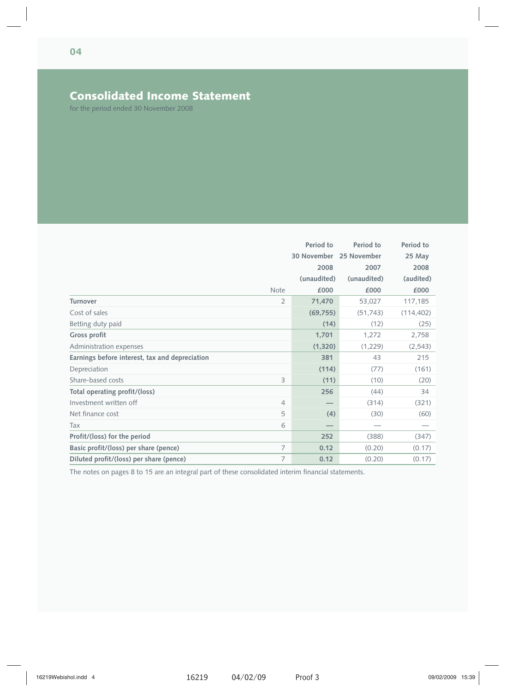## **Consolidated Income Statement**

for the period ended 30 November 2008

|                                                |                | Period to               | Period to   | Period to  |
|------------------------------------------------|----------------|-------------------------|-------------|------------|
|                                                |                | 30 November 25 November |             | 25 May     |
|                                                |                | 2008                    | 2007        | 2008       |
|                                                |                | (unaudited)             | (unaudited) | (audited)  |
|                                                | <b>Note</b>    | £000                    | £000        | £000       |
| <b>Turnover</b>                                | $\overline{2}$ | 71,470                  | 53,027      | 117,185    |
| Cost of sales                                  |                | (69, 755)               | (51, 743)   | (114, 402) |
| Betting duty paid                              |                | (14)                    | (12)        | (25)       |
| Gross profit                                   |                | 1,701                   | 1,272       | 2,758      |
| Administration expenses                        |                | (1, 320)                | (1,229)     | (2, 543)   |
| Earnings before interest, tax and depreciation |                | 381                     | 43          | 215        |
| Depreciation                                   |                | (114)                   | (77)        | (161)      |
| Share-based costs                              | 3              | (11)                    | (10)        | (20)       |
| Total operating profit/(loss)                  |                | 256                     | (44)        | 34         |
| Investment written off                         | $\overline{4}$ |                         | (314)       | (321)      |
| Net finance cost                               | 5              | (4)                     | (30)        | (60)       |
| Tax                                            | 6              |                         |             |            |
| Profit/(loss) for the period                   |                | 252                     | (388)       | (347)      |
| Basic profit/(loss) per share (pence)          | 7              | 0.12                    | (0.20)      | (0.17)     |
| Diluted profit/(loss) per share (pence)        | 7              | 0.12                    | (0.20)      | (0.17)     |

The notes on pages 8 to 15 are an integral part of these consolidated interim financial statements.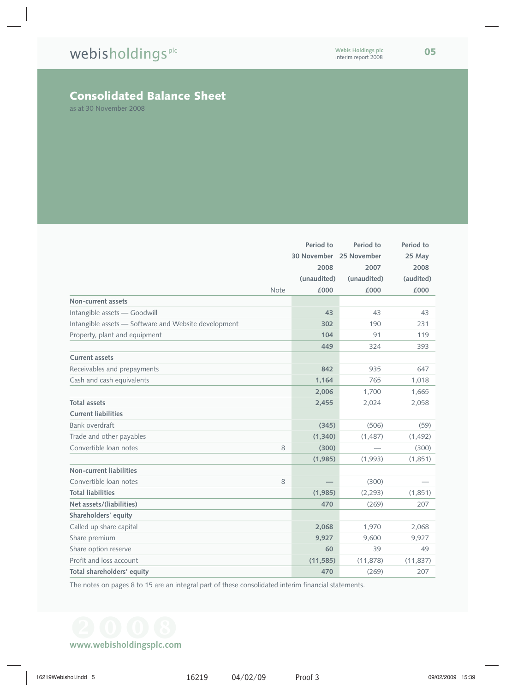## **Consolidated Balance Sheet**

as at 30 November 2008

|                                                      | Period to               | Period to   | Period to |
|------------------------------------------------------|-------------------------|-------------|-----------|
|                                                      | 30 November 25 November |             | 25 May    |
|                                                      | 2008                    | 2007        | 2008      |
|                                                      | (unaudited)             | (unaudited) | (audited) |
| Note                                                 | £000                    | £000        | £000      |
| Non-current assets                                   |                         |             |           |
| Intangible assets - Goodwill                         | 43                      | 43          | 43        |
| Intangible assets - Software and Website development | 302                     | 190         | 231       |
| Property, plant and equipment                        | 104                     | 91          | 119       |
|                                                      | 449                     | 324         | 393       |
| <b>Current assets</b>                                |                         |             |           |
| Receivables and prepayments                          | 842                     | 935         | 647       |
| Cash and cash equivalents                            | 1,164                   | 765         | 1,018     |
|                                                      | 2,006                   | 1,700       | 1,665     |
| <b>Total assets</b>                                  | 2,455                   | 2,024       | 2,058     |
| <b>Current liabilities</b>                           |                         |             |           |
| <b>Bank overdraft</b>                                | (345)                   | (506)       | (59)      |
| Trade and other payables                             | (1,340)                 | (1, 487)    | (1, 492)  |
| Convertible loan notes<br>8                          | (300)                   |             | (300)     |
|                                                      | (1,985)                 | (1,993)     | (1,851)   |
| Non-current liabilities                              |                         |             |           |
| Convertible loan notes<br>8                          |                         | (300)       |           |
| <b>Total liabilities</b>                             | (1,985)                 | (2, 293)    | (1,851)   |
| Net assets/(liabilities)                             | 470                     | (269)       | 207       |
| Shareholders' equity                                 |                         |             |           |
| Called up share capital                              | 2,068                   | 1,970       | 2,068     |
| Share premium                                        | 9,927                   | 9,600       | 9,927     |
| Share option reserve                                 | 60                      | 39          | 49        |
| Profit and loss account                              | (11, 585)               | (11, 878)   | (11, 837) |
| Total shareholders' equity                           | 470                     | (269)       | 207       |

The notes on pages 8 to 15 are an integral part of these consolidated interim financial statements.

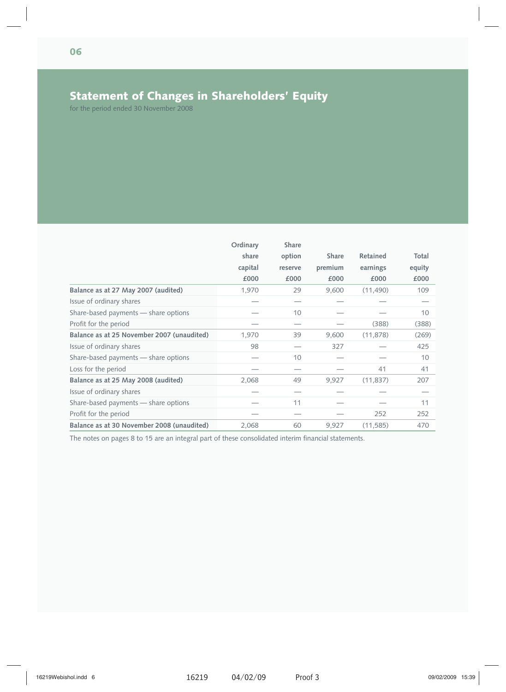## **Statement of Changes in Shareholders' Equity**

for the period ended 30 November 2008

|                                            | Ordinary | Share   |              |           |        |
|--------------------------------------------|----------|---------|--------------|-----------|--------|
|                                            | share    | option  | <b>Share</b> | Retained  | Total  |
|                                            | capital  | reserve | premium      | earnings  | equity |
|                                            | £000     | £000    | £000         | £000      | £000   |
| Balance as at 27 May 2007 (audited)        | 1,970    | 29      | 9,600        | (11, 490) | 109    |
| Issue of ordinary shares                   |          |         |              |           |        |
| Share-based payments - share options       |          | 10      |              |           | 10     |
| Profit for the period                      |          |         |              | (388)     | (388)  |
| Balance as at 25 November 2007 (unaudited) | 1,970    | 39      | 9,600        | (11, 878) | (269)  |
| Issue of ordinary shares                   | 98       |         | 327          |           | 425    |
| Share-based payments - share options       |          | 10      |              |           | 10     |
| Loss for the period                        |          |         |              | 41        | 41     |
| Balance as at 25 May 2008 (audited)        | 2,068    | 49      | 9,927        | (11, 837) | 207    |
| Issue of ordinary shares                   |          |         |              |           |        |
| Share-based payments - share options       |          | 11      |              |           | 11     |
| Profit for the period                      |          |         |              | 252       | 252    |
| Balance as at 30 November 2008 (unaudited) | 2,068    | 60      | 9,927        | (11, 585) | 470    |

The notes on pages 8 to 15 are an integral part of these consolidated interim financial statements.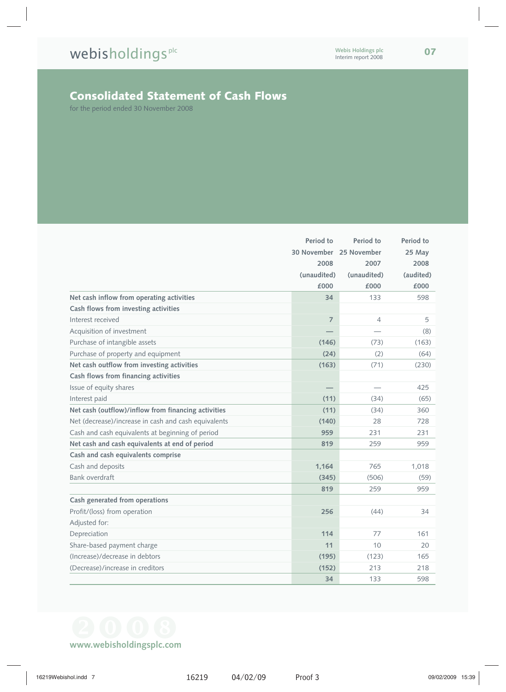## **Consolidated Statement of Cash Flows**

for the period ended 30 November 2008

|                                                      | Period to      | Period to                | Period to |
|------------------------------------------------------|----------------|--------------------------|-----------|
|                                                      |                | 30 November 25 November  | 25 May    |
|                                                      | 2008           | 2007                     | 2008      |
|                                                      | (unaudited)    | (unaudited)              | (audited) |
|                                                      | £000           | £000                     | £000      |
| Net cash inflow from operating activities            | 34             | 133                      | 598       |
| Cash flows from investing activities                 |                |                          |           |
| Interest received                                    | $\overline{7}$ | $\overline{4}$           | 5         |
| Acquisition of investment                            |                |                          | (8)       |
| Purchase of intangible assets                        | (146)          | (73)                     | (163)     |
| Purchase of property and equipment                   | (24)           | (2)                      | (64)      |
| Net cash outflow from investing activities           | (163)          | (71)                     | (230)     |
| Cash flows from financing activities                 |                |                          |           |
| Issue of equity shares                               |                | $\overline{\phantom{0}}$ | 425       |
| Interest paid                                        | (11)           | (34)                     | (65)      |
| Net cash (outflow)/inflow from financing activities  | (11)           | (34)                     | 360       |
| Net (decrease)/increase in cash and cash equivalents | (140)          | 28                       | 728       |
| Cash and cash equivalents at beginning of period     | 959            | 231                      | 231       |
| Net cash and cash equivalents at end of period       | 819            | 259                      | 959       |
| Cash and cash equivalents comprise                   |                |                          |           |
| Cash and deposits                                    | 1.164          | 765                      | 1,018     |
| Bank overdraft                                       | (345)          | (506)                    | (59)      |
|                                                      | 819            | 259                      | 959       |
| Cash generated from operations                       |                |                          |           |
| Profit/(loss) from operation                         | 256            | (44)                     | 34        |
| Adjusted for:                                        |                |                          |           |
| Depreciation                                         | 114            | 77                       | 161       |
| Share-based payment charge                           | 11             | 10                       | 20        |
| (Increase)/decrease in debtors                       | (195)          | (123)                    | 165       |
| (Decrease)/increase in creditors                     | (152)          | 213                      | 218       |
|                                                      | 34             | 133                      | 598       |

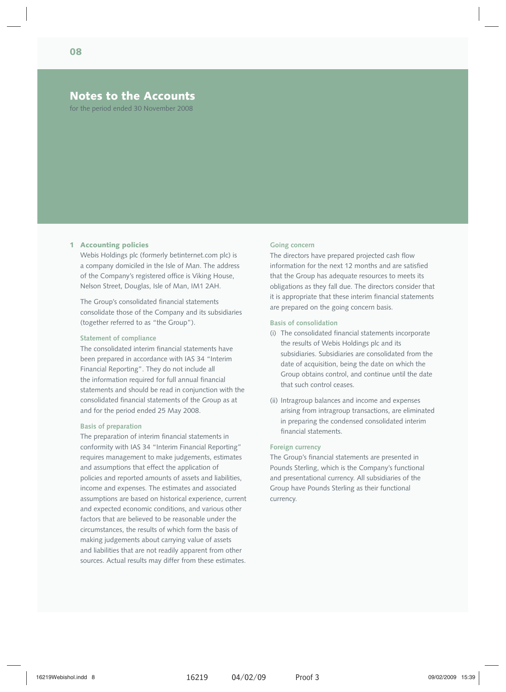### **Notes to the Accounts**

for the period ended 30 November 2008

#### **1 Accounting policies**

Webis Holdings plc (formerly betinternet.com plc) is a company domiciled in the Isle of Man. The address of the Company's registered office is Viking House, Nelson Street, Douglas, Isle of Man, IM1 2AH.

The Group's consolidated financial statements consolidate those of the Company and its subsidiaries (together referred to as "the Group").

#### **Statement of compliance**

The consolidated interim financial statements have been prepared in accordance with IAS 34 "Interim Financial Reporting". They do not include all the information required for full annual financial statements and should be read in conjunction with the consolidated financial statements of the Group as at and for the period ended 25 May 2008.

#### **Basis of preparation**

The preparation of interim financial statements in conformity with IAS 34 "Interim Financial Reporting" requires management to make judgements, estimates and assumptions that effect the application of policies and reported amounts of assets and liabilities, income and expenses. The estimates and associated assumptions are based on historical experience, current and expected economic conditions, and various other factors that are believed to be reasonable under the circumstances, the results of which form the basis of making judgements about carrying value of assets and liabilities that are not readily apparent from other sources. Actual results may differ from these estimates.

#### **Going concern**

The directors have prepared projected cash flow information for the next 12 months and are satisfied that the Group has adequate resources to meets its obligations as they fall due. The directors consider that it is appropriate that these interim financial statements are prepared on the going concern basis.

#### **Basis of consolidation**

- (i) The consolidated financial statements incorporate the results of Webis Holdings plc and its subsidiaries. Subsidiaries are consolidated from the date of acquisition, being the date on which the Group obtains control, and continue until the date that such control ceases.
- (ii) Intragroup balances and income and expenses arising from intragroup transactions, are eliminated in preparing the condensed consolidated interim financial statements.

#### **Foreign currency**

The Group's financial statements are presented in Pounds Sterling, which is the Company's functional and presentational currency. All subsidiaries of the Group have Pounds Sterling as their functional currency.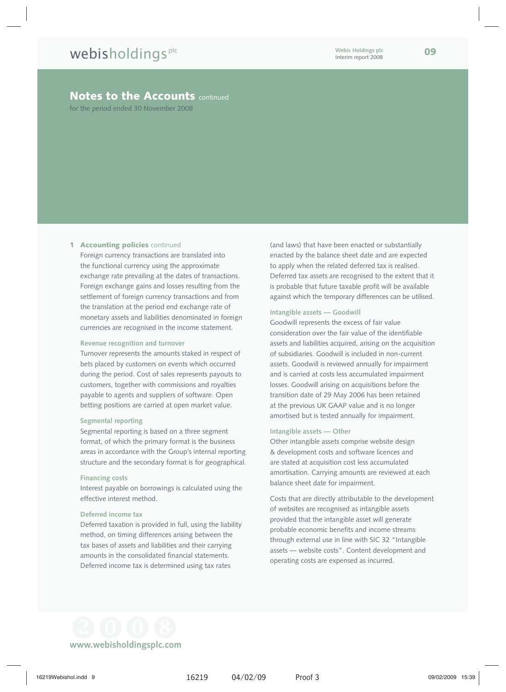for the period ended 30 November 2008

#### **1 Accounting policies** continued

Foreign currency transactions are translated into the functional currency using the approximate exchange rate prevailing at the dates of transactions. Foreign exchange gains and losses resulting from the settlement of foreign currency transactions and from the translation at the period end exchange rate of monetary assets and liabilities denominated in foreign currencies are recognised in the income statement.

#### **Revenue recognition and turnover**

Turnover represents the amounts staked in respect of bets placed by customers on events which occurred during the period. Cost of sales represents payouts to customers, together with commissions and royalties payable to agents and suppliers of software. Open betting positions are carried at open market value.

#### **Segmental reporting**

Segmental reporting is based on a three segment format, of which the primary format is the business areas in accordance with the Group's internal reporting structure and the secondary format is for geographical.

#### **Financing costs**

Interest payable on borrowings is calculated using the effective interest method.

#### **Deferred income tax**

Deferred taxation is provided in full, using the liability method, on timing differences arising between the tax bases of assets and liabilities and their carrying amounts in the consolidated financial statements. Deferred income tax is determined using tax rates

(and laws) that have been enacted or substantially enacted by the balance sheet date and are expected to apply when the related deferred tax is realised. Deferred tax assets are recognised to the extent that it is probable that future taxable profit will be available against which the temporary differences can be utilised.

#### **Intangible assets — Goodwill**

Goodwill represents the excess of fair value consideration over the fair value of the identifiable assets and liabilities acquired, arising on the acquisition of subsidiaries. Goodwill is included in non-current assets. Goodwill is reviewed annually for impairment and is carried at costs less accumulated impairment losses. Goodwill arising on acquisitions before the transition date of 29 May 2006 has been retained at the previous UK GAAP value and is no longer amortised but is tested annually for impairment.

#### **Intangible assets — Other**

Other intangible assets comprise website design & development costs and software licences and are stated at acquisition cost less accumulated amortisation. Carrying amounts are reviewed at each balance sheet date for impairment.

Costs that are directly attributable to the development of websites are recognised as intangible assets provided that the intangible asset will generate probable economic benefits and income streams through external use in line with SIC 32 "Intangible assets — website costs". Content development and operating costs are expensed as incurred.

 **www.webisholdingsplc.com**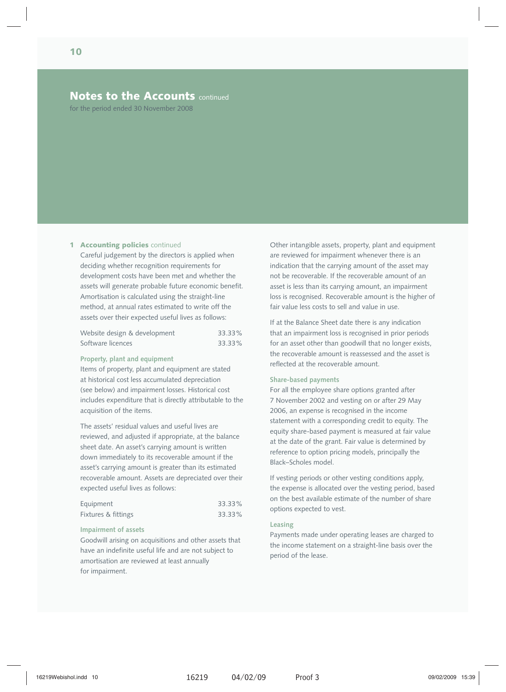for the period ended 30 November 2008

#### **1 Accounting policies** continued

Careful judgement by the directors is applied when deciding whether recognition requirements for development costs have been met and whether the assets will generate probable future economic benefit. Amortisation is calculated using the straight-line method, at annual rates estimated to write off the assets over their expected useful lives as follows:

| Website design & development | 33.33% |
|------------------------------|--------|
| Software licences            | 33.33% |

#### **Property, plant and equipment**

Items of property, plant and equipment are stated at historical cost less accumulated depreciation (see below) and impairment losses. Historical cost includes expenditure that is directly attributable to the acquisition of the items.

The assets' residual values and useful lives are reviewed, and adjusted if appropriate, at the balance sheet date. An asset's carrying amount is written down immediately to its recoverable amount if the asset's carrying amount is greater than its estimated recoverable amount. Assets are depreciated over their expected useful lives as follows:

| Equipment           | 33.33% |
|---------------------|--------|
| Fixtures & fittings | 33.33% |

#### **Impairment of assets**

Goodwill arising on acquisitions and other assets that have an indefinite useful life and are not subject to amortisation are reviewed at least annually for impairment.

Other intangible assets, property, plant and equipment are reviewed for impairment whenever there is an indication that the carrying amount of the asset may not be recoverable. If the recoverable amount of an asset is less than its carrying amount, an impairment loss is recognised. Recoverable amount is the higher of fair value less costs to sell and value in use.

If at the Balance Sheet date there is any indication that an impairment loss is recognised in prior periods for an asset other than goodwill that no longer exists, the recoverable amount is reassessed and the asset is reflected at the recoverable amount.

#### **Share-based payments**

For all the employee share options granted after 7 November 2002 and vesting on or after 29 May 2006, an expense is recognised in the income statement with a corresponding credit to equity. The equity share-based payment is measured at fair value at the date of the grant. Fair value is determined by reference to option pricing models, principally the Black–Scholes model.

If vesting periods or other vesting conditions apply, the expense is allocated over the vesting period, based on the best available estimate of the number of share options expected to vest.

#### **Leasing**

Payments made under operating leases are charged to the income statement on a straight-line basis over the period of the lease.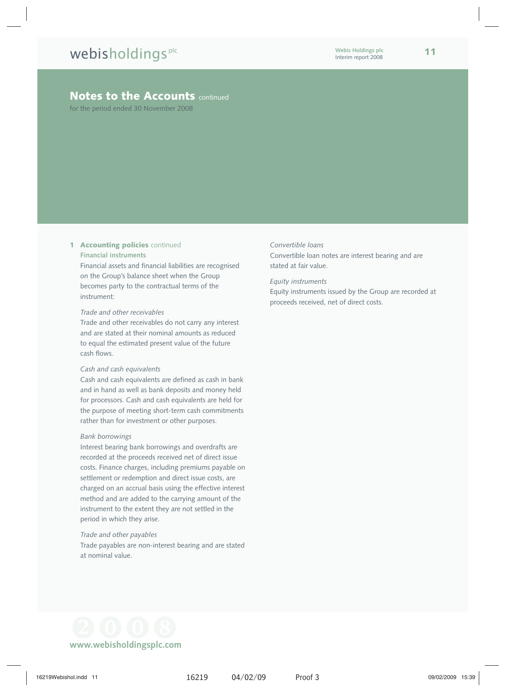for the period ended 30 November 2008

## **1 Accounting policies** continued

#### **Financial instruments**

Financial assets and financial liabilities are recognised on the Group's balance sheet when the Group becomes party to the contractual terms of the instrument:

#### *Trade and other receivables*

Trade and other receivables do not carry any interest and are stated at their nominal amounts as reduced to equal the estimated present value of the future cash flows.

#### *Cash and cash equivalents*

Cash and cash equivalents are defined as cash in bank and in hand as well as bank deposits and money held for processors. Cash and cash equivalents are held for the purpose of meeting short-term cash commitments rather than for investment or other purposes.

#### *Bank borrowings*

Interest bearing bank borrowings and overdrafts are recorded at the proceeds received net of direct issue costs. Finance charges, including premiums payable on settlement or redemption and direct issue costs, are charged on an accrual basis using the effective interest method and are added to the carrying amount of the instrument to the extent they are not settled in the period in which they arise.

#### *Trade and other payables*

Trade payables are non-interest bearing and are stated at nominal value.

#### *Convertible loans*

Convertible loan notes are interest bearing and are stated at fair value.

#### *Equity instruments*

Equity instruments issued by the Group are recorded at proceeds received, net of direct costs.

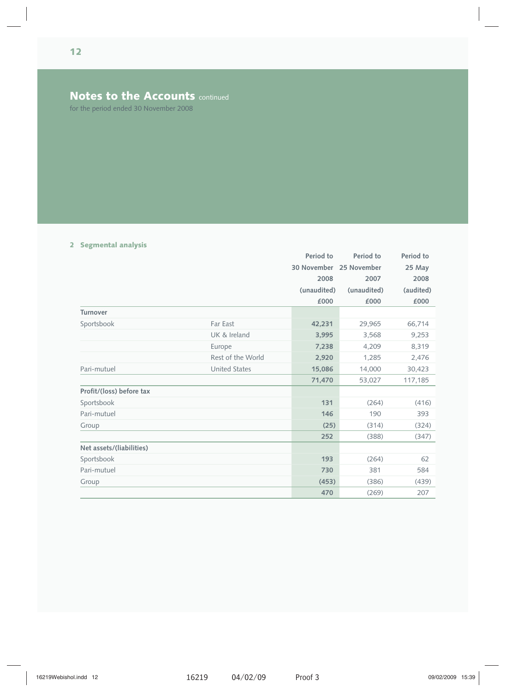for the period ended 30 November 2008

## **2 Segmental analysis**

|                          |                      | Period to   | Period to   | Period to |
|--------------------------|----------------------|-------------|-------------|-----------|
|                          |                      | 30 November | 25 November | 25 May    |
|                          |                      | 2008        | 2007        | 2008      |
|                          |                      | (unaudited) | (unaudited) | (audited) |
|                          |                      | £000        | £000        | £000      |
| <b>Turnover</b>          |                      |             |             |           |
| Sportsbook               | Far East             | 42,231      | 29,965      | 66,714    |
|                          | UK & Ireland         | 3,995       | 3,568       | 9,253     |
|                          | Europe               | 7,238       | 4,209       | 8,319     |
|                          | Rest of the World    | 2,920       | 1,285       | 2,476     |
| Pari-mutuel              | <b>United States</b> | 15,086      | 14,000      | 30,423    |
|                          |                      | 71,470      | 53,027      | 117,185   |
| Profit/(loss) before tax |                      |             |             |           |
| Sportsbook               |                      | 131         | (264)       | (416)     |
| Pari-mutuel              |                      | 146         | 190         | 393       |
| Group                    |                      | (25)        | (314)       | (324)     |
|                          |                      | 252         | (388)       | (347)     |
| Net assets/(liabilities) |                      |             |             |           |
| Sportsbook               |                      | 193         | (264)       | 62        |
| Pari-mutuel              |                      | 730         | 381         | 584       |
| Group                    |                      | (453)       | (386)       | (439)     |
|                          |                      | 470         | (269)       | 207       |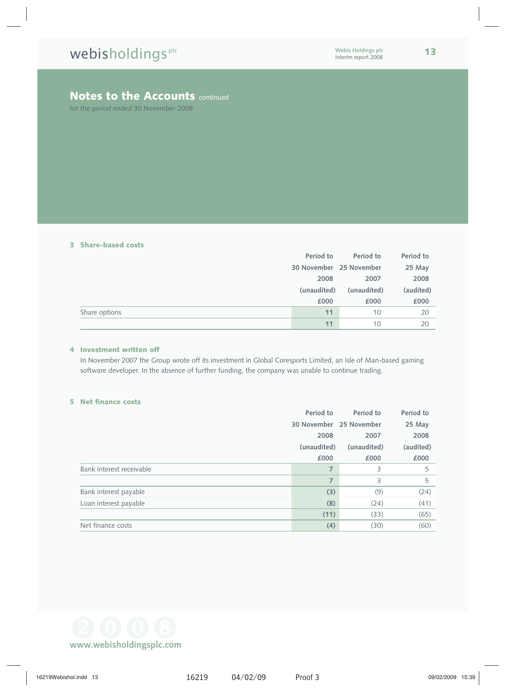for the period ended 30 November 2008

#### **3 Share-based costs**

|               | Period to               | Period to   | Period to |
|---------------|-------------------------|-------------|-----------|
|               | 30 November 25 November |             | 25 May    |
|               | 2008                    | 2007        | 2008      |
|               | (unaudited)             | (unaudited) | (audited) |
|               | £000                    | £000        | £000      |
| Share options | 11                      | 10          | 20        |
|               | 11                      | 10          | 20        |

#### **4 Investment written off**

In November 2007 the Group wrote off its investment in Global Coresports Limited, an Isle of Man-based gaming software developer. In the absence of further funding, the company was unable to continue trading.

#### **5 Net finance costs**

|                          | Period to   | Period to               | Period to |
|--------------------------|-------------|-------------------------|-----------|
|                          |             | 30 November 25 November | 25 May    |
|                          | 2008        | 2007                    | 2008      |
|                          | (unaudited) | (unaudited)             | (audited) |
|                          | £000        | £000                    | £000      |
| Bank interest receivable | 7           | 3                       | 5         |
|                          | 7           | 3                       | 5         |
| Bank interest payable    | (3)         | (9)                     | (24)      |
| Loan interest payable    | (8)         | (24)                    | (41)      |
|                          | (11)        | (33)                    | (65)      |
| Net finance costs        | (4)         | (30)                    | (60)      |

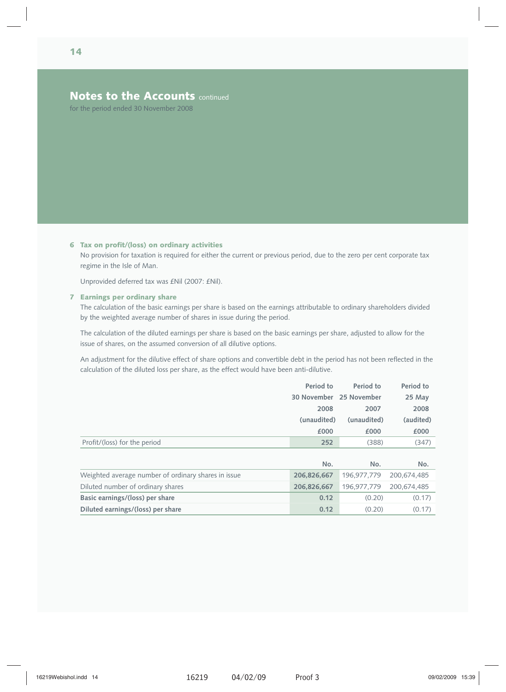for the period ended 30 November 2008

#### **6 Tax on profit/(loss) on ordinary activities**

No provision for taxation is required for either the current or previous period, due to the zero per cent corporate tax regime in the Isle of Man.

Unprovided deferred tax was £Nil (2007: £Nil).

#### **7 Earnings per ordinary share**

The calculation of the basic earnings per share is based on the earnings attributable to ordinary shareholders divided by the weighted average number of shares in issue during the period.

The calculation of the diluted earnings per share is based on the basic earnings per share, adjusted to allow for the issue of shares, on the assumed conversion of all dilutive options.

An adjustment for the dilutive effect of share options and convertible debt in the period has not been reflected in the calculation of the diluted loss per share, as the effect would have been anti-dilutive.

|                              | Period to               | Period to   | Period to |
|------------------------------|-------------------------|-------------|-----------|
|                              | 30 November 25 November |             | 25 May    |
|                              | 2008                    | 2007        | 2008      |
|                              | (unaudited)             | (unaudited) | (audited) |
|                              | £000                    | £000        | £000      |
| Profit/(loss) for the period | 252                     | (388)       | (347)     |

|                                                     | No.         | No.                     | No.    |
|-----------------------------------------------------|-------------|-------------------------|--------|
| Weighted average number of ordinary shares in issue | 206.826.667 | 196,977,779 200,674,485 |        |
| Diluted number of ordinary shares                   | 206.826.667 | 196.977,779 200,674,485 |        |
| Basic earnings/(loss) per share                     | 0.12        | (0.20)                  | (0.17) |
| Diluted earnings/(loss) per share                   | 0.12        | (0.20)                  | (0.17) |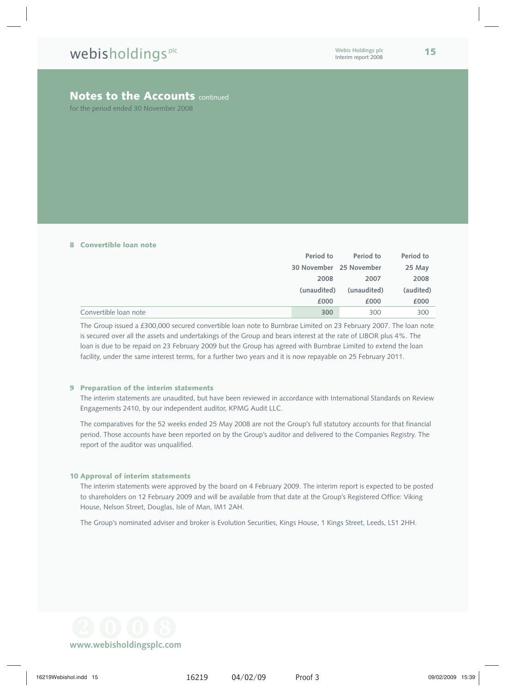for the period ended 30 November 2008

#### **8 Convertible loan note**

|                       | Period to               | Period to   | Period to |
|-----------------------|-------------------------|-------------|-----------|
|                       | 30 November 25 November |             | 25 May    |
|                       | 2008                    | 2007        | 2008      |
|                       | (unaudited)             | (unaudited) | (audited) |
|                       | £000                    | £000        | £000      |
| Convertible loan note | 300                     | 300         | 300       |

The Group issued a £300,000 secured convertible loan note to Burnbrae Limited on 23 February 2007. The loan note is secured over all the assets and undertakings of the Group and bears interest at the rate of LIBOR plus 4%. The loan is due to be repaid on 23 February 2009 but the Group has agreed with Burnbrae Limited to extend the loan facility, under the same interest terms, for a further two years and it is now repayable on 25 February 2011.

#### **9 Preparation of the interim statements**

The interim statements are unaudited, but have been reviewed in accordance with International Standards on Review Engagements 2410, by our independent auditor, KPMG Audit LLC.

The comparatives for the 52 weeks ended 25 May 2008 are not the Group's full statutory accounts for that financial period. Those accounts have been reported on by the Group's auditor and delivered to the Companies Registry. The report of the auditor was unqualified.

#### **10 Approval of interim statements**

The interim statements were approved by the board on 4 February 2009. The interim report is expected to be posted to shareholders on 12 February 2009 and will be available from that date at the Group's Registered Office: Viking House, Nelson Street, Douglas, Isle of Man, IM1 2AH.

The Group's nominated adviser and broker is Evolution Securities, Kings House, 1 Kings Street, Leeds, LS1 2HH.

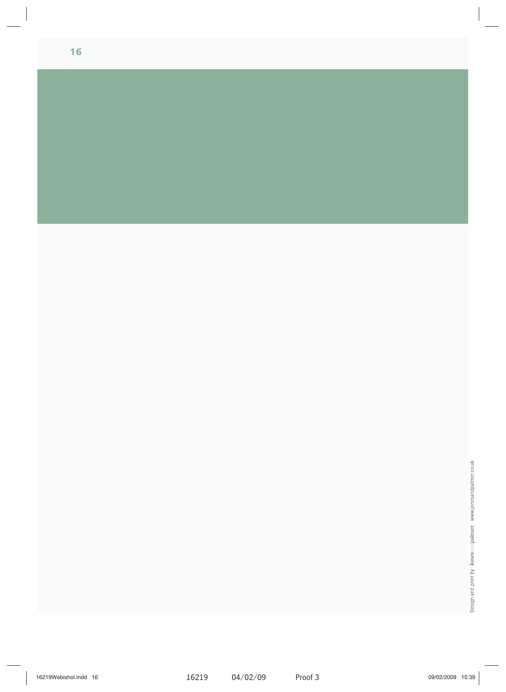